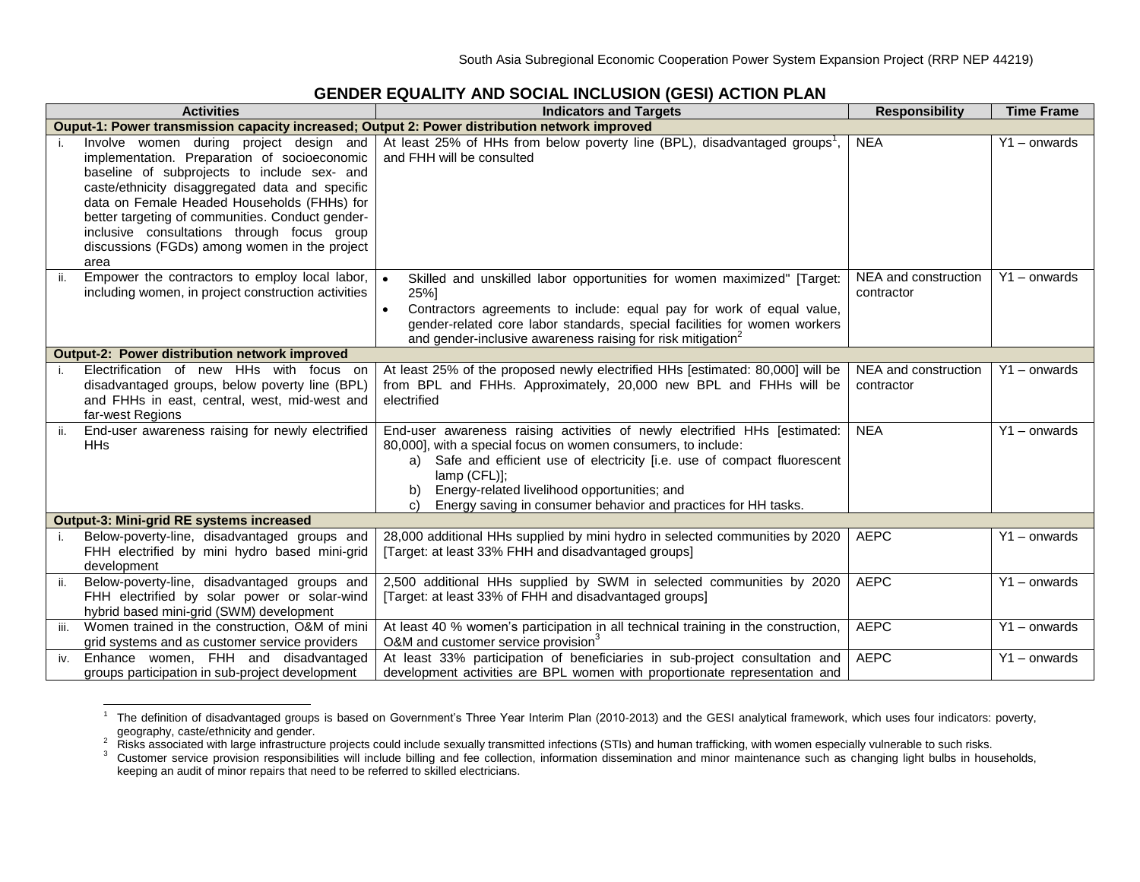## **GENDER EQUALITY AND SOCIAL INCLUSION (GESI) ACTION PLAN**

|                                                                                               | <b>Activities</b>                                                                                                                                                                                                                                                                                                                                                                                    | <b>Indicators and Targets</b>                                                                                                                                                                                                                                                                                                                                          | <b>Responsibility</b>              | <b>Time Frame</b> |  |  |
|-----------------------------------------------------------------------------------------------|------------------------------------------------------------------------------------------------------------------------------------------------------------------------------------------------------------------------------------------------------------------------------------------------------------------------------------------------------------------------------------------------------|------------------------------------------------------------------------------------------------------------------------------------------------------------------------------------------------------------------------------------------------------------------------------------------------------------------------------------------------------------------------|------------------------------------|-------------------|--|--|
| Ouput-1: Power transmission capacity increased; Output 2: Power distribution network improved |                                                                                                                                                                                                                                                                                                                                                                                                      |                                                                                                                                                                                                                                                                                                                                                                        |                                    |                   |  |  |
|                                                                                               | Involve women during project design and<br>implementation. Preparation of socioeconomic<br>baseline of subprojects to include sex- and<br>caste/ethnicity disaggregated data and specific<br>data on Female Headed Households (FHHs) for<br>better targeting of communities. Conduct gender-<br>inclusive consultations through focus group<br>discussions (FGDs) among women in the project<br>area | At least 25% of HHs from below poverty line (BPL), disadvantaged groups <sup>1</sup> ,<br>and FHH will be consulted                                                                                                                                                                                                                                                    | <b>NEA</b>                         | $Y1 -$ onwards    |  |  |
| ii.                                                                                           | Empower the contractors to employ local labor,<br>including women, in project construction activities                                                                                                                                                                                                                                                                                                | Skilled and unskilled labor opportunities for women maximized" [Target:<br>25%]<br>Contractors agreements to include: equal pay for work of equal value,<br>gender-related core labor standards, special facilities for women workers<br>and gender-inclusive awareness raising for risk mitigation <sup>2</sup>                                                       | NEA and construction<br>contractor | $Y1 -$ onwards    |  |  |
|                                                                                               | Output-2: Power distribution network improved                                                                                                                                                                                                                                                                                                                                                        |                                                                                                                                                                                                                                                                                                                                                                        |                                    |                   |  |  |
|                                                                                               | Electrification of new HHs with focus on<br>disadvantaged groups, below poverty line (BPL)<br>and FHHs in east, central, west, mid-west and<br>far-west Regions                                                                                                                                                                                                                                      | At least 25% of the proposed newly electrified HHs [estimated: 80,000] will be<br>from BPL and FHHs. Approximately, 20,000 new BPL and FHHs will be<br>electrified                                                                                                                                                                                                     | NEA and construction<br>contractor | $Y1 -$ onwards    |  |  |
|                                                                                               | End-user awareness raising for newly electrified<br><b>HH<sub>s</sub></b>                                                                                                                                                                                                                                                                                                                            | End-user awareness raising activities of newly electrified HHs [estimated:<br>80,000], with a special focus on women consumers, to include:<br>a) Safe and efficient use of electricity [i.e. use of compact fluorescent<br>$lamp$ (CFL) $l$ :<br>Energy-related livelihood opportunities; and<br>Energy saving in consumer behavior and practices for HH tasks.<br>C) | <b>NEA</b>                         | Y1 - onwards      |  |  |
|                                                                                               | <b>Output-3: Mini-grid RE systems increased</b>                                                                                                                                                                                                                                                                                                                                                      |                                                                                                                                                                                                                                                                                                                                                                        |                                    |                   |  |  |
|                                                                                               | Below-poverty-line, disadvantaged groups and<br>FHH electrified by mini hydro based mini-grid<br>development                                                                                                                                                                                                                                                                                         | 28,000 additional HHs supplied by mini hydro in selected communities by 2020<br>[Target: at least 33% FHH and disadvantaged groups]                                                                                                                                                                                                                                    | <b>AEPC</b>                        | Y1 - onwards      |  |  |
| ii.                                                                                           | Below-poverty-line, disadvantaged groups and<br>FHH electrified by solar power or solar-wind<br>hybrid based mini-grid (SWM) development                                                                                                                                                                                                                                                             | 2,500 additional HHs supplied by SWM in selected communities by 2020<br>[Target: at least 33% of FHH and disadvantaged groups]                                                                                                                                                                                                                                         | <b>AEPC</b>                        | Y1 - onwards      |  |  |
| iii.                                                                                          | Women trained in the construction, O&M of mini<br>grid systems and as customer service providers                                                                                                                                                                                                                                                                                                     | At least 40 % women's participation in all technical training in the construction,<br>O&M and customer service provision <sup>3</sup>                                                                                                                                                                                                                                  | <b>AEPC</b>                        | $Y1 -$ onwards    |  |  |
| iv.                                                                                           | Enhance women, FHH and disadvantaged<br>groups participation in sub-project development                                                                                                                                                                                                                                                                                                              | At least 33% participation of beneficiaries in sub-project consultation and<br>development activities are BPL women with proportionate representation and                                                                                                                                                                                                              | <b>AEPC</b>                        | Y1-onwards        |  |  |

<sup>1</sup> The definition of disadvantaged groups is based on Government's Three Year Interim Plan (2010-2013) and the GESI analytical framework, which uses four indicators: poverty,

geography, caste/ethnicity and gender.<br><sup>2</sup> Risks associated with large infrastructure projects could include sexually transmitted infections (STIs) and human trafficking, with women especially vulnerable to such risks.

<sup>&</sup>lt;sup>3</sup> Customer service provision responsibilities will include billing and fee collection, information dissemination and minor maintenance such as changing light bulbs in households, keeping an audit of minor repairs that need to be referred to skilled electricians.